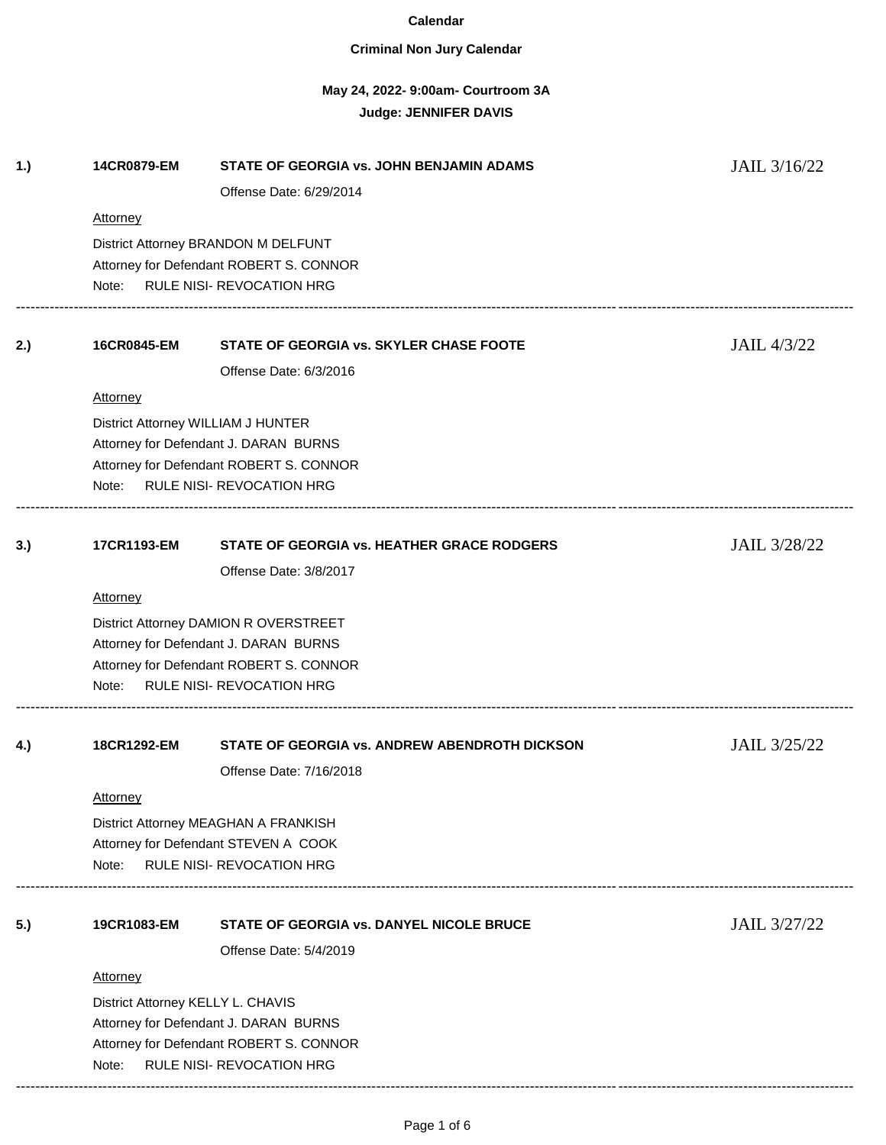### **Criminal Non Jury Calendar**

# **May 24, 2022- 9:00am- Courtroom 3A Judge: JENNIFER DAVIS**

| Attorney<br>District Attorney BRANDON M DELFUNT<br>Attorney for Defendant ROBERT S. CONNOR<br><b>RULE NISI- REVOCATION HRG</b><br>Note:<br>STATE OF GEORGIA vs. SKYLER CHASE FOOTE<br>2.)<br>16CR0845-EM<br>Offense Date: 6/3/2016 | JAIL 4/3/22  |  |  |
|------------------------------------------------------------------------------------------------------------------------------------------------------------------------------------------------------------------------------------|--------------|--|--|
|                                                                                                                                                                                                                                    |              |  |  |
|                                                                                                                                                                                                                                    |              |  |  |
|                                                                                                                                                                                                                                    |              |  |  |
|                                                                                                                                                                                                                                    |              |  |  |
| <b>Attorney</b>                                                                                                                                                                                                                    |              |  |  |
| District Attorney WILLIAM J HUNTER                                                                                                                                                                                                 |              |  |  |
| Attorney for Defendant J. DARAN BURNS<br>Attorney for Defendant ROBERT S. CONNOR                                                                                                                                                   |              |  |  |
| <b>RULE NISI- REVOCATION HRG</b><br>Note:                                                                                                                                                                                          |              |  |  |
| 3.)<br>17CR1193-EM<br>STATE OF GEORGIA vs. HEATHER GRACE RODGERS                                                                                                                                                                   | JAIL 3/28/22 |  |  |
| Offense Date: 3/8/2017                                                                                                                                                                                                             |              |  |  |
| <b>Attorney</b>                                                                                                                                                                                                                    |              |  |  |
| District Attorney DAMION R OVERSTREET                                                                                                                                                                                              |              |  |  |
| Attorney for Defendant J. DARAN BURNS                                                                                                                                                                                              |              |  |  |
| Attorney for Defendant ROBERT S. CONNOR                                                                                                                                                                                            |              |  |  |
| <b>RULE NISI- REVOCATION HRG</b><br>Note:                                                                                                                                                                                          |              |  |  |
| 18CR1292-EM<br>STATE OF GEORGIA vs. ANDREW ABENDROTH DICKSON<br>4.)                                                                                                                                                                | JAIL 3/25/22 |  |  |
| Offense Date: 7/16/2018                                                                                                                                                                                                            |              |  |  |
| <b>Attorney</b>                                                                                                                                                                                                                    |              |  |  |
| District Attorney MEAGHAN A FRANKISH                                                                                                                                                                                               |              |  |  |
| Attorney for Defendant STEVEN A COOK                                                                                                                                                                                               |              |  |  |
| <b>RULE NISI- REVOCATION HRG</b><br>Note:                                                                                                                                                                                          |              |  |  |
| 5.)<br>19CR1083-EM<br>STATE OF GEORGIA vs. DANYEL NICOLE BRUCE                                                                                                                                                                     | JAIL 3/27/22 |  |  |
| Offense Date: 5/4/2019                                                                                                                                                                                                             |              |  |  |
| <b>Attorney</b>                                                                                                                                                                                                                    |              |  |  |
| District Attorney KELLY L. CHAVIS                                                                                                                                                                                                  |              |  |  |
| Attorney for Defendant J. DARAN BURNS                                                                                                                                                                                              |              |  |  |
| Attorney for Defendant ROBERT S. CONNOR                                                                                                                                                                                            |              |  |  |
| RULE NISI- REVOCATION HRG<br>Note:                                                                                                                                                                                                 |              |  |  |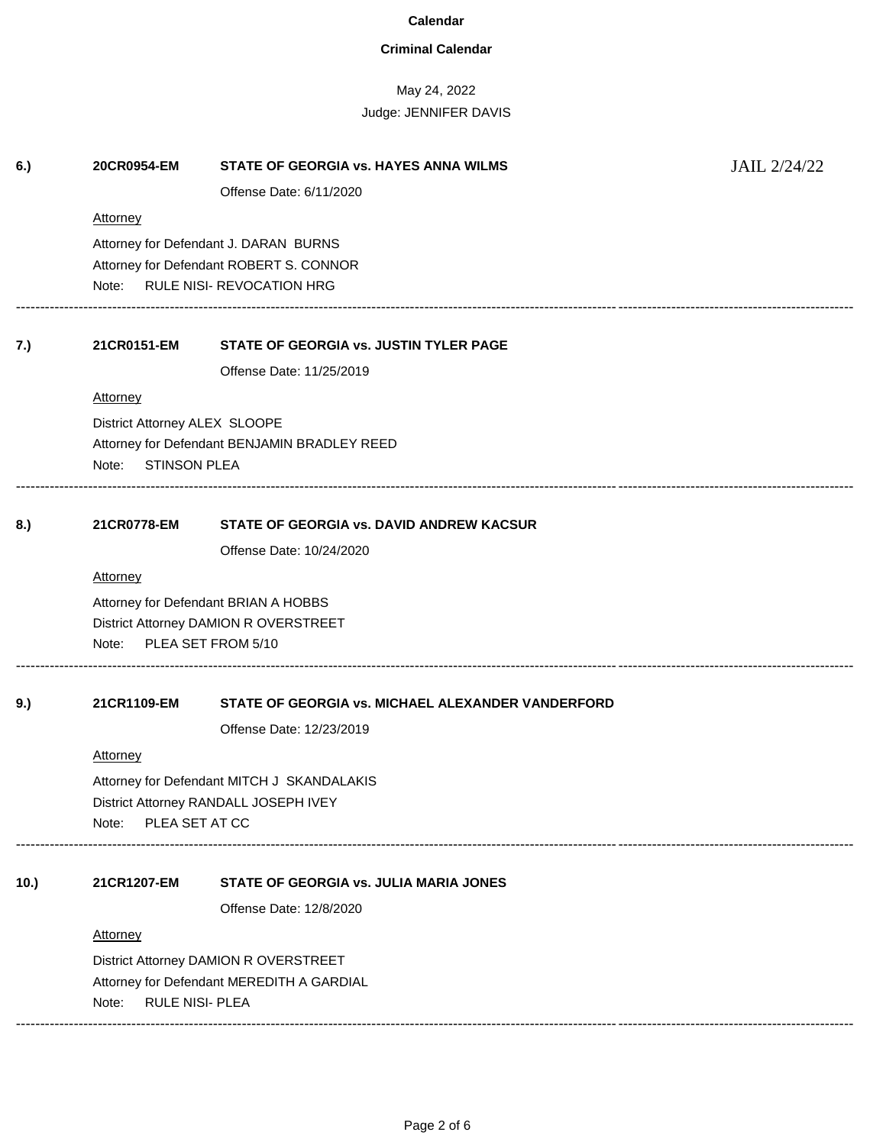## **Criminal Calendar**

| 6.)  | 20CR0954-EM                               | STATE OF GEORGIA vs. HAYES ANNA WILMS                                              | JAIL 2/24/22 |  |
|------|-------------------------------------------|------------------------------------------------------------------------------------|--------------|--|
|      |                                           | Offense Date: 6/11/2020                                                            |              |  |
|      | <b>Attorney</b>                           |                                                                                    |              |  |
|      |                                           | Attorney for Defendant J. DARAN BURNS                                              |              |  |
|      |                                           | Attorney for Defendant ROBERT S. CONNOR                                            |              |  |
|      | <b>RULE NISI- REVOCATION HRG</b><br>Note: |                                                                                    |              |  |
| 7.)  | 21CR0151-EM                               | STATE OF GEORGIA vs. JUSTIN TYLER PAGE                                             |              |  |
|      |                                           | Offense Date: 11/25/2019                                                           |              |  |
|      | <b>Attorney</b>                           |                                                                                    |              |  |
|      | District Attorney ALEX SLOOPE             |                                                                                    |              |  |
|      |                                           | Attorney for Defendant BENJAMIN BRADLEY REED                                       |              |  |
|      | <b>STINSON PLEA</b><br>Note:              |                                                                                    |              |  |
| 8.)  | 21CR0778-EM                               | STATE OF GEORGIA vs. DAVID ANDREW KACSUR                                           |              |  |
|      |                                           | Offense Date: 10/24/2020                                                           |              |  |
|      | <b>Attorney</b>                           |                                                                                    |              |  |
|      |                                           | Attorney for Defendant BRIAN A HOBBS                                               |              |  |
|      |                                           | District Attorney DAMION R OVERSTREET                                              |              |  |
|      | Note:                                     | PLEA SET FROM 5/10                                                                 |              |  |
| 9.)  | 21CR1109-EM                               | STATE OF GEORGIA vs. MICHAEL ALEXANDER VANDERFORD                                  |              |  |
|      |                                           | Offense Date: 12/23/2019                                                           |              |  |
|      | <b>Attorney</b>                           |                                                                                    |              |  |
|      |                                           | Attorney for Defendant MITCH J SKANDALAKIS                                         |              |  |
|      |                                           | District Attorney RANDALL JOSEPH IVEY                                              |              |  |
|      | PLEA SET AT CC<br>Note:                   |                                                                                    |              |  |
| 10.) | 21CR1207-EM                               | STATE OF GEORGIA vs. JULIA MARIA JONES                                             |              |  |
|      |                                           | Offense Date: 12/8/2020                                                            |              |  |
|      | <b>Attorney</b>                           |                                                                                    |              |  |
|      |                                           |                                                                                    |              |  |
|      |                                           | District Attorney DAMION R OVERSTREET<br>Attorney for Defendant MEREDITH A GARDIAL |              |  |
|      | <b>RULE NISI- PLEA</b><br>Note:           |                                                                                    |              |  |
|      |                                           |                                                                                    |              |  |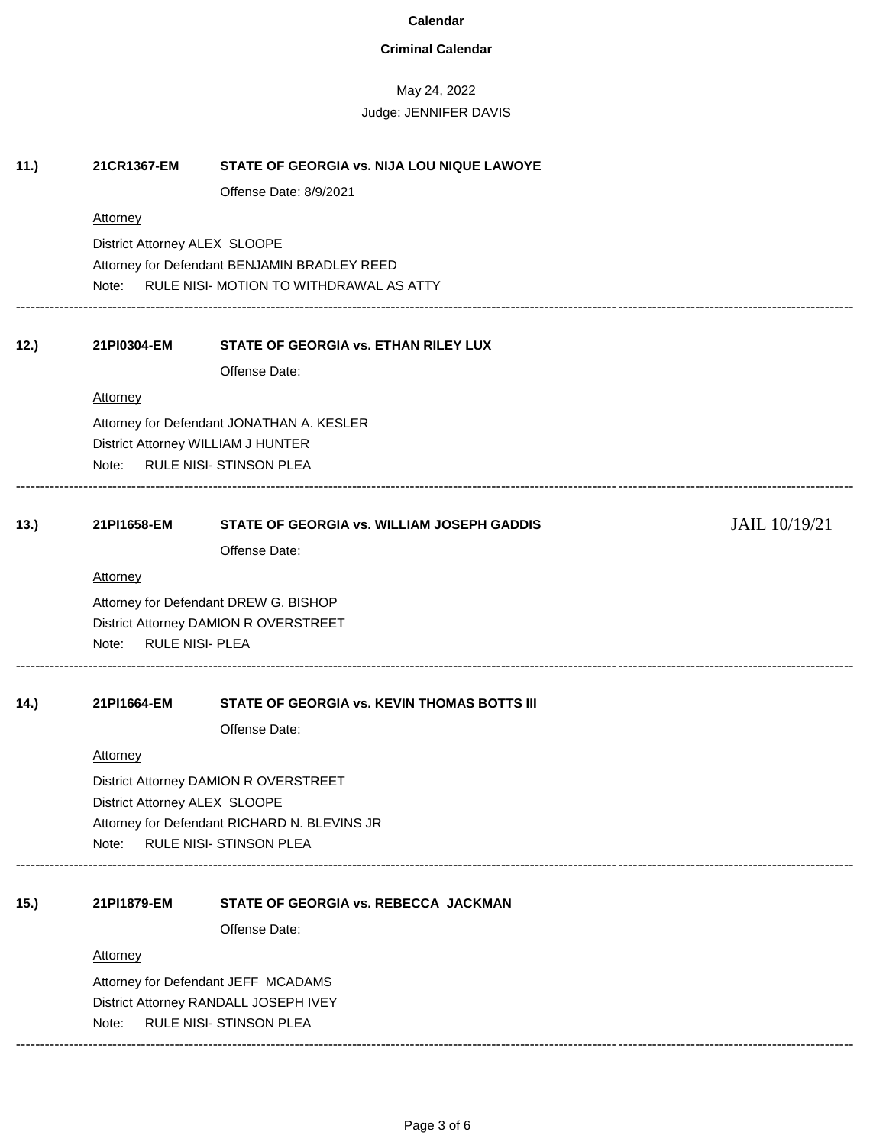## **Criminal Calendar**

| 11.) | 21CR1367-EM                                                                                                                    | STATE OF GEORGIA vs. NIJA LOU NIQUE LAWOYE<br>Offense Date: 8/9/2021 |               |  |
|------|--------------------------------------------------------------------------------------------------------------------------------|----------------------------------------------------------------------|---------------|--|
|      | Attorney                                                                                                                       |                                                                      |               |  |
|      | District Attorney ALEX SLOOPE<br>Attorney for Defendant BENJAMIN BRADLEY REED<br>Note: RULE NISI- MOTION TO WITHDRAWAL AS ATTY |                                                                      |               |  |
| 12.) | 21PI0304-EM                                                                                                                    | STATE OF GEORGIA vs. ETHAN RILEY LUX                                 |               |  |
|      |                                                                                                                                | Offense Date:                                                        |               |  |
|      | <b>Attorney</b>                                                                                                                |                                                                      |               |  |
|      |                                                                                                                                | Attorney for Defendant JONATHAN A. KESLER                            |               |  |
|      |                                                                                                                                | District Attorney WILLIAM J HUNTER                                   |               |  |
|      |                                                                                                                                | Note: RULE NISI- STINSON PLEA                                        |               |  |
| 13.) | 21PI1658-EM                                                                                                                    | STATE OF GEORGIA vs. WILLIAM JOSEPH GADDIS                           | JAIL 10/19/21 |  |
|      |                                                                                                                                | Offense Date:                                                        |               |  |
|      | <b>Attorney</b>                                                                                                                |                                                                      |               |  |
|      |                                                                                                                                | Attorney for Defendant DREW G. BISHOP                                |               |  |
|      |                                                                                                                                | District Attorney DAMION R OVERSTREET                                |               |  |
|      | Note:                                                                                                                          | <b>RULE NISI- PLEA</b>                                               |               |  |
| 14.) | 21PI1664-EM                                                                                                                    | STATE OF GEORGIA vs. KEVIN THOMAS BOTTS III                          |               |  |
|      |                                                                                                                                | Offense Date:                                                        |               |  |
|      | Attorney                                                                                                                       |                                                                      |               |  |
|      |                                                                                                                                | District Attorney DAMION R OVERSTREET                                |               |  |
|      | District Attorney ALEX SLOOPE                                                                                                  |                                                                      |               |  |
|      |                                                                                                                                | Attorney for Defendant RICHARD N. BLEVINS JR                         |               |  |
|      | Note:                                                                                                                          | RULE NISI- STINSON PLEA                                              |               |  |
| 15.) | 21PI1879-EM                                                                                                                    | STATE OF GEORGIA vs. REBECCA JACKMAN                                 |               |  |
|      |                                                                                                                                | Offense Date:                                                        |               |  |
|      | <b>Attorney</b>                                                                                                                |                                                                      |               |  |
|      |                                                                                                                                | Attorney for Defendant JEFF MCADAMS                                  |               |  |
|      |                                                                                                                                | District Attorney RANDALL JOSEPH IVEY                                |               |  |
|      | Note:                                                                                                                          | RULE NISI- STINSON PLEA                                              |               |  |
|      |                                                                                                                                |                                                                      |               |  |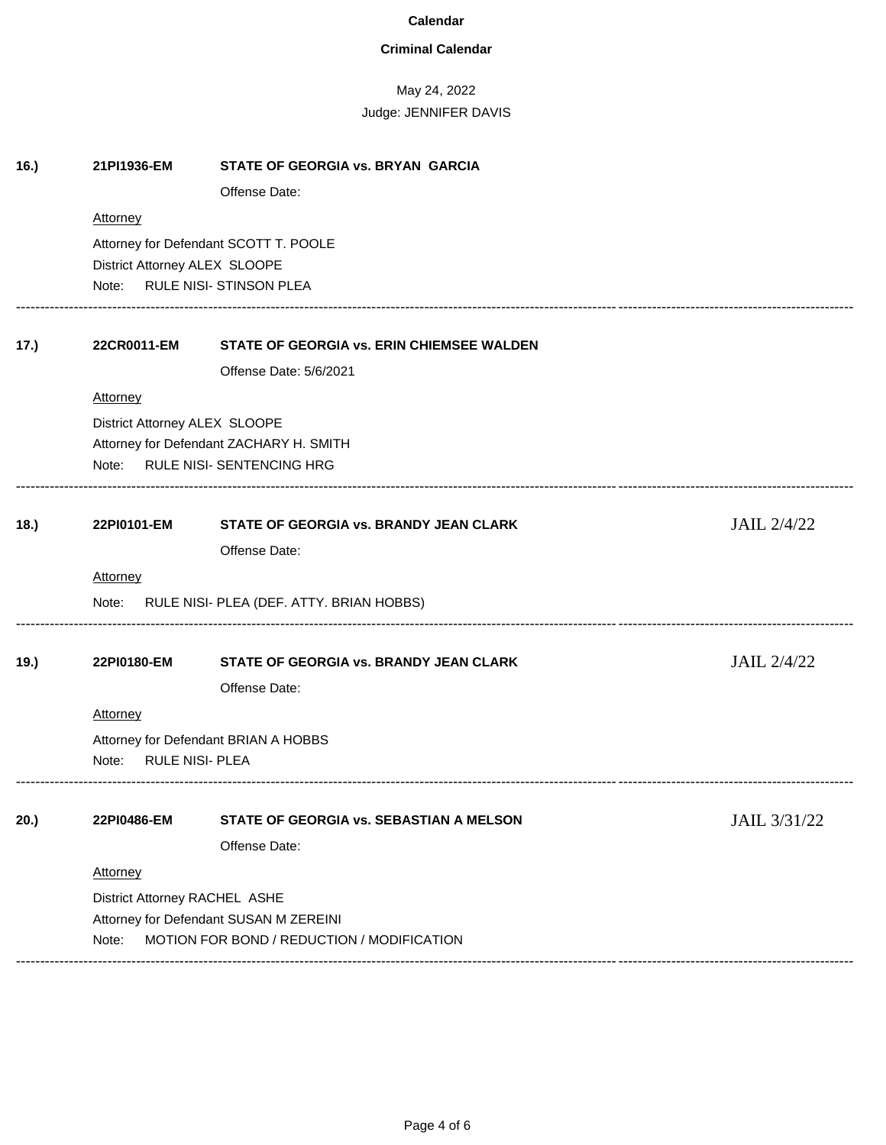## **Criminal Calendar**

| 16.) | 21PI1936-EM                                                             | STATE OF GEORGIA vs. BRYAN GARCIA          |              |  |  |  |
|------|-------------------------------------------------------------------------|--------------------------------------------|--------------|--|--|--|
|      |                                                                         | Offense Date:                              |              |  |  |  |
|      | Attorney                                                                |                                            |              |  |  |  |
|      |                                                                         | Attorney for Defendant SCOTT T. POOLE      |              |  |  |  |
|      |                                                                         | District Attorney ALEX SLOOPE              |              |  |  |  |
|      | Note:                                                                   | RULE NISI- STINSON PLEA                    |              |  |  |  |
| 17.) | 22CR0011-EM                                                             | STATE OF GEORGIA vs. ERIN CHIEMSEE WALDEN  |              |  |  |  |
|      |                                                                         | Offense Date: 5/6/2021                     |              |  |  |  |
|      | Attorney                                                                |                                            |              |  |  |  |
|      | District Attorney ALEX SLOOPE                                           |                                            |              |  |  |  |
|      |                                                                         | Attorney for Defendant ZACHARY H. SMITH    |              |  |  |  |
|      |                                                                         | Note: RULE NISI- SENTENCING HRG            |              |  |  |  |
|      |                                                                         |                                            |              |  |  |  |
| 18.  | 22PI0101-EM                                                             | STATE OF GEORGIA vs. BRANDY JEAN CLARK     | JAIL 2/4/22  |  |  |  |
|      |                                                                         | Offense Date:                              |              |  |  |  |
|      | Attorney                                                                |                                            |              |  |  |  |
|      | Note:                                                                   | RULE NISI- PLEA (DEF. ATTY. BRIAN HOBBS)   |              |  |  |  |
| 19.) | 22PI0180-EM                                                             | STATE OF GEORGIA vs. BRANDY JEAN CLARK     | JAIL 2/4/22  |  |  |  |
|      |                                                                         | Offense Date:                              |              |  |  |  |
|      | <b>Attorney</b>                                                         |                                            |              |  |  |  |
|      |                                                                         |                                            |              |  |  |  |
|      | Attorney for Defendant BRIAN A HOBBS<br><b>RULE NISI- PLEA</b><br>Note: |                                            |              |  |  |  |
|      |                                                                         |                                            |              |  |  |  |
| 20.) | 22PI0486-EM                                                             | STATE OF GEORGIA vs. SEBASTIAN A MELSON    | JAIL 3/31/22 |  |  |  |
|      |                                                                         | Offense Date:                              |              |  |  |  |
|      | Attorney                                                                |                                            |              |  |  |  |
|      | District Attorney RACHEL ASHE                                           |                                            |              |  |  |  |
|      |                                                                         | Attorney for Defendant SUSAN M ZEREINI     |              |  |  |  |
|      | Note:                                                                   | MOTION FOR BOND / REDUCTION / MODIFICATION |              |  |  |  |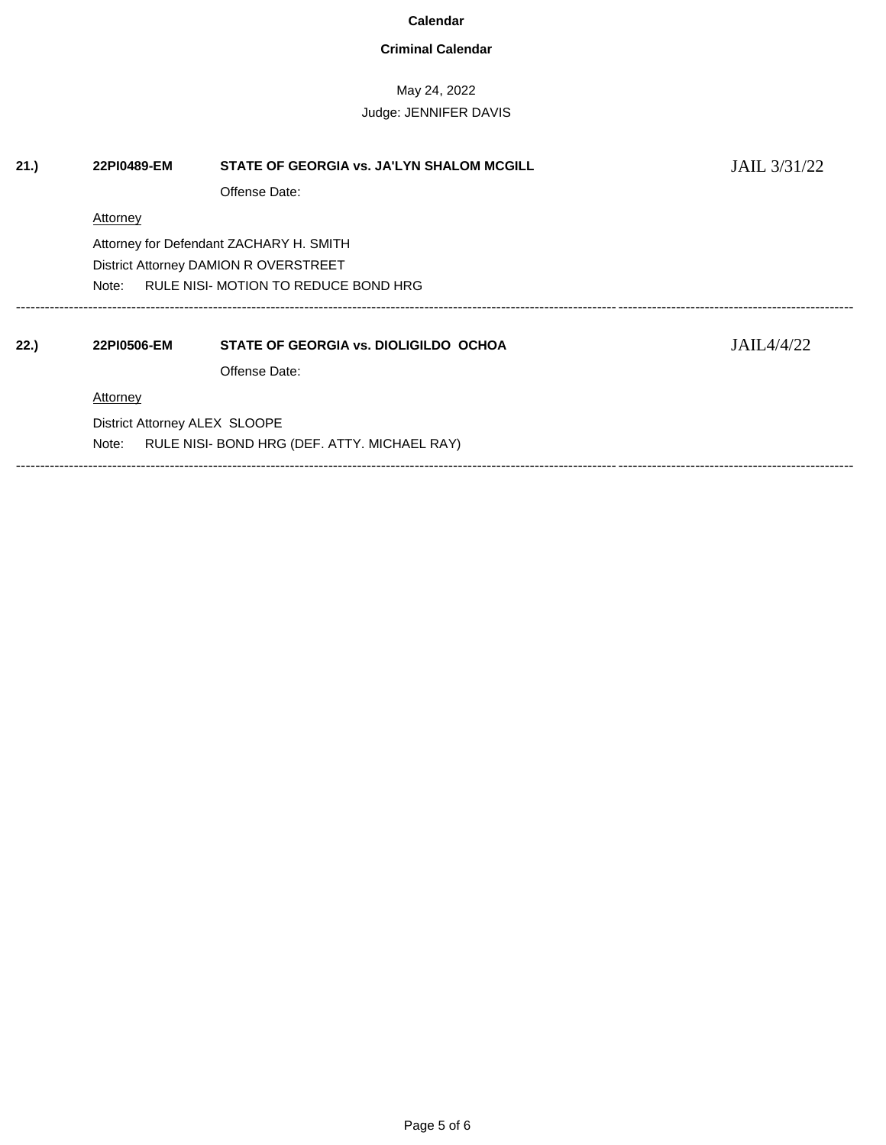### **Criminal Calendar**

## May 24, 2022 Judge: JENNIFER DAVIS

**21.) 22PI0489-EM STATE OF GEORGIA vs. JA'LYN SHALOM MCGILL** JAIL 3/31/22 Offense Date: **Attorney** Attorney for Defendant ZACHARY H. SMITH District Attorney DAMION R OVERSTREET Note: RULE NISI- MOTION TO REDUCE BOND HRG ------------------------------------------------------------------------------------------------------------------------------------------------------------------------------ **22.) 22PI0506-EM STATE OF GEORGIA vs. DIOLIGILDO OCHOA** JAIL4/4/22 Offense Date: **Attorney** District Attorney ALEX SLOOPE Note: RULE NISI- BOND HRG (DEF. ATTY. MICHAEL RAY) ------------------------------------------------------------------------------------------------------------------------------------------------------------------------------